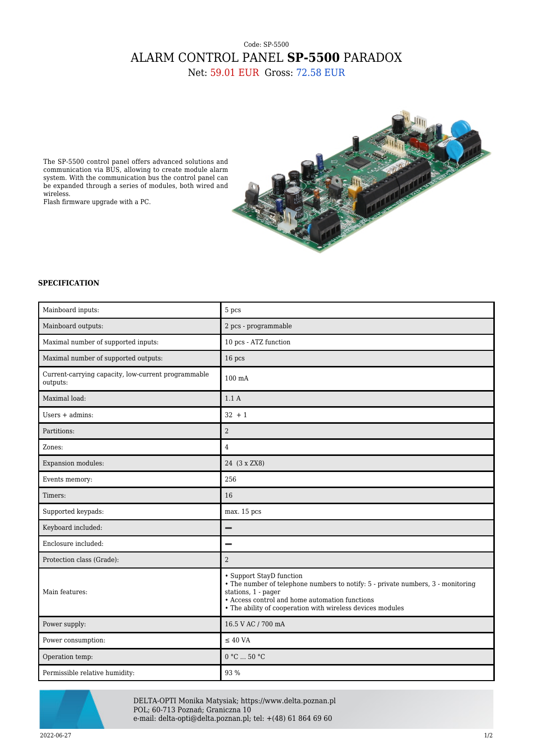## Code: SP-5500 ALARM CONTROL PANEL **SP-5500** PARADOX Net: 59.01 EUR Gross: 72.58 EUR

The SP-5500 control panel offers advanced solutions and communication via BUS, allowing to create module alarm system. With the communication bus the control panel can be expanded through a series of modules, both wired and wireless.

Flash firmware upgrade with a PC.



## **SPECIFICATION**

| Mainboard inputs:                                               | 5 pcs                                                                                                                                                                                                                                               |
|-----------------------------------------------------------------|-----------------------------------------------------------------------------------------------------------------------------------------------------------------------------------------------------------------------------------------------------|
| Mainboard outputs:                                              | 2 pcs - programmable                                                                                                                                                                                                                                |
| Maximal number of supported inputs:                             | 10 pcs - ATZ function                                                                                                                                                                                                                               |
| Maximal number of supported outputs:                            | 16 pcs                                                                                                                                                                                                                                              |
| Current-carrying capacity, low-current programmable<br>outputs: | 100 mA                                                                                                                                                                                                                                              |
| Maximal load:                                                   | 1.1A                                                                                                                                                                                                                                                |
| Users $+$ admins:                                               | $32 + 1$                                                                                                                                                                                                                                            |
| Partitions:                                                     | $\overline{2}$                                                                                                                                                                                                                                      |
| Zones:                                                          | $\overline{4}$                                                                                                                                                                                                                                      |
| Expansion modules:                                              | 24 (3 x ZX8)                                                                                                                                                                                                                                        |
| Events memory:                                                  | 256                                                                                                                                                                                                                                                 |
| Timers:                                                         | 16                                                                                                                                                                                                                                                  |
| Supported keypads:                                              | max. 15 pcs                                                                                                                                                                                                                                         |
| Keyboard included:                                              | $\overline{\phantom{0}}$                                                                                                                                                                                                                            |
| Enclosure included:                                             |                                                                                                                                                                                                                                                     |
| Protection class (Grade):                                       | $\overline{2}$                                                                                                                                                                                                                                      |
| Main features:                                                  | • Support StayD function<br>• The number of telephone numbers to notify: 5 - private numbers, 3 - monitoring<br>stations, 1 - pager<br>• Access control and home automation functions<br>• The ability of cooperation with wireless devices modules |
| Power supply:                                                   | 16.5 V AC / 700 mA                                                                                                                                                                                                                                  |
| Power consumption:                                              | $\leq$ 40 VA                                                                                                                                                                                                                                        |
| Operation temp:                                                 | 0 °C  50 °C                                                                                                                                                                                                                                         |
| Permissible relative humidity:                                  | 93 %                                                                                                                                                                                                                                                |



DELTA-OPTI Monika Matysiak; https://www.delta.poznan.pl POL; 60-713 Poznań; Graniczna 10 e-mail: delta-opti@delta.poznan.pl; tel: +(48) 61 864 69 60